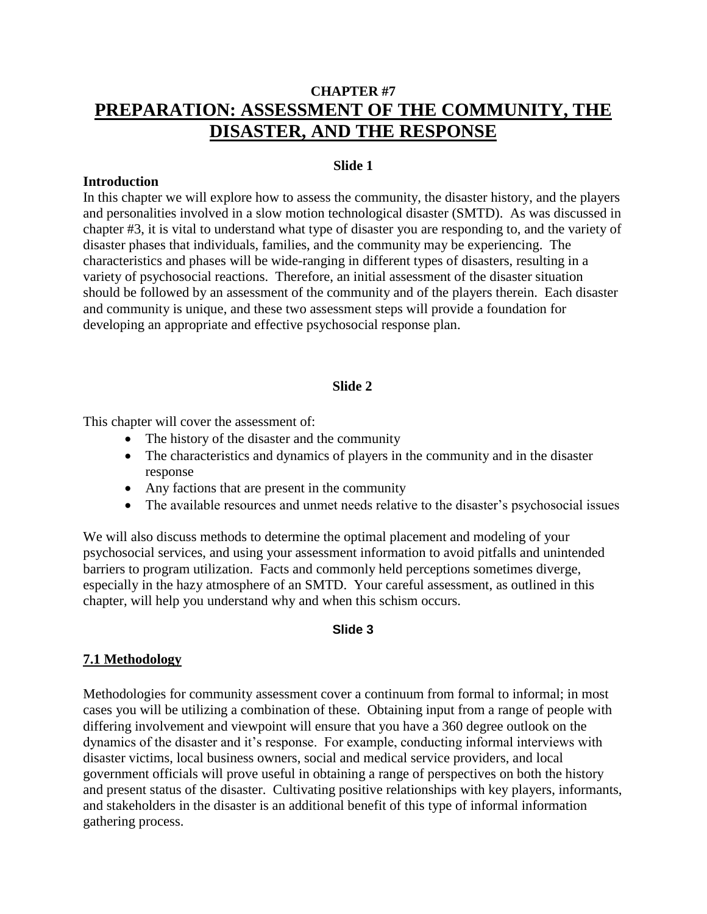# **CHAPTER #7 PREPARATION: ASSESSMENT OF THE COMMUNITY, THE DISASTER, AND THE RESPONSE**

#### **Slide 1**

#### **Introduction**

In this chapter we will explore how to assess the community, the disaster history, and the players and personalities involved in a slow motion technological disaster (SMTD). As was discussed in chapter #3, it is vital to understand what type of disaster you are responding to, and the variety of disaster phases that individuals, families, and the community may be experiencing. The characteristics and phases will be wide-ranging in different types of disasters, resulting in a variety of psychosocial reactions. Therefore, an initial assessment of the disaster situation should be followed by an assessment of the community and of the players therein. Each disaster and community is unique, and these two assessment steps will provide a foundation for developing an appropriate and effective psychosocial response plan.

#### **Slide 2**

This chapter will cover the assessment of:

- The history of the disaster and the community
- The characteristics and dynamics of players in the community and in the disaster response
- Any factions that are present in the community
- The available resources and unmet needs relative to the disaster's psychosocial issues

We will also discuss methods to determine the optimal placement and modeling of your psychosocial services, and using your assessment information to avoid pitfalls and unintended barriers to program utilization. Facts and commonly held perceptions sometimes diverge, especially in the hazy atmosphere of an SMTD. Your careful assessment, as outlined in this chapter, will help you understand why and when this schism occurs.

#### **Slide 3**

#### **7.1 Methodology**

Methodologies for community assessment cover a continuum from formal to informal; in most cases you will be utilizing a combination of these. Obtaining input from a range of people with differing involvement and viewpoint will ensure that you have a 360 degree outlook on the dynamics of the disaster and it's response. For example, conducting informal interviews with disaster victims, local business owners, social and medical service providers, and local government officials will prove useful in obtaining a range of perspectives on both the history and present status of the disaster. Cultivating positive relationships with key players, informants, and stakeholders in the disaster is an additional benefit of this type of informal information gathering process.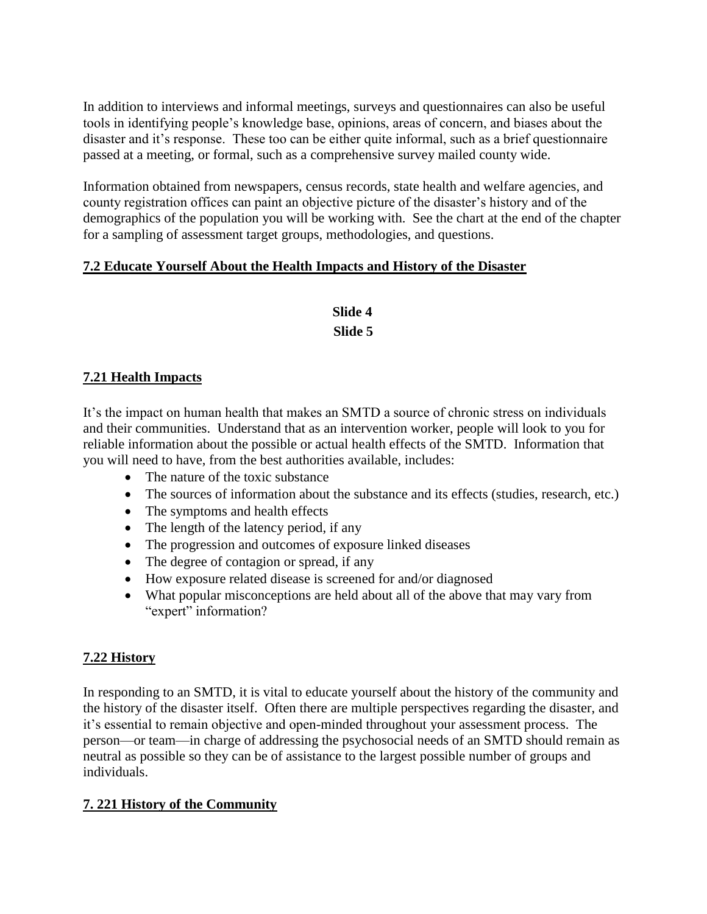In addition to interviews and informal meetings, surveys and questionnaires can also be useful tools in identifying people's knowledge base, opinions, areas of concern, and biases about the disaster and it's response. These too can be either quite informal, such as a brief questionnaire passed at a meeting, or formal, such as a comprehensive survey mailed county wide.

Information obtained from newspapers, census records, state health and welfare agencies, and county registration offices can paint an objective picture of the disaster's history and of the demographics of the population you will be working with. See the chart at the end of the chapter for a sampling of assessment target groups, methodologies, and questions.

# **7.2 Educate Yourself About the Health Impacts and History of the Disaster**

# **Slide 4 Slide 5**

# **7.21 Health Impacts**

It's the impact on human health that makes an SMTD a source of chronic stress on individuals and their communities. Understand that as an intervention worker, people will look to you for reliable information about the possible or actual health effects of the SMTD. Information that you will need to have, from the best authorities available, includes:

- The nature of the toxic substance
- The sources of information about the substance and its effects (studies, research, etc.)
- The symptoms and health effects
- The length of the latency period, if any
- The progression and outcomes of exposure linked diseases
- The degree of contagion or spread, if any
- How exposure related disease is screened for and/or diagnosed
- What popular misconceptions are held about all of the above that may vary from "expert" information?

# **7.22 History**

In responding to an SMTD, it is vital to educate yourself about the history of the community and the history of the disaster itself. Often there are multiple perspectives regarding the disaster, and it's essential to remain objective and open-minded throughout your assessment process. The person—or team—in charge of addressing the psychosocial needs of an SMTD should remain as neutral as possible so they can be of assistance to the largest possible number of groups and individuals.

# **7. 221 History of the Community**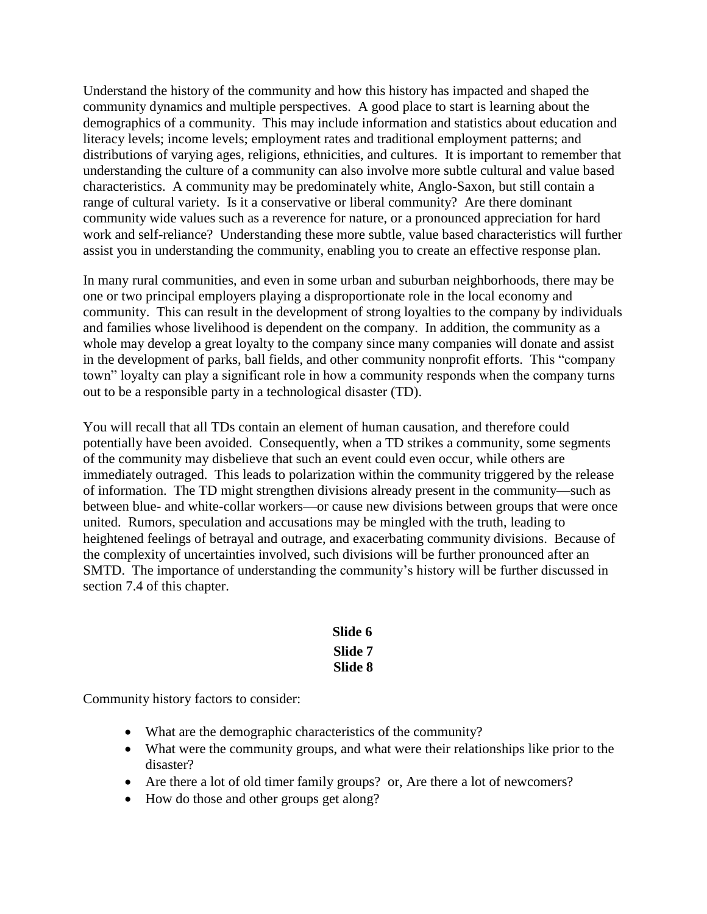Understand the history of the community and how this history has impacted and shaped the community dynamics and multiple perspectives. A good place to start is learning about the demographics of a community. This may include information and statistics about education and literacy levels; income levels; employment rates and traditional employment patterns; and distributions of varying ages, religions, ethnicities, and cultures. It is important to remember that understanding the culture of a community can also involve more subtle cultural and value based characteristics. A community may be predominately white, Anglo-Saxon, but still contain a range of cultural variety. Is it a conservative or liberal community? Are there dominant community wide values such as a reverence for nature, or a pronounced appreciation for hard work and self-reliance? Understanding these more subtle, value based characteristics will further assist you in understanding the community, enabling you to create an effective response plan.

In many rural communities, and even in some urban and suburban neighborhoods, there may be one or two principal employers playing a disproportionate role in the local economy and community. This can result in the development of strong loyalties to the company by individuals and families whose livelihood is dependent on the company. In addition, the community as a whole may develop a great loyalty to the company since many companies will donate and assist in the development of parks, ball fields, and other community nonprofit efforts. This "company town" loyalty can play a significant role in how a community responds when the company turns out to be a responsible party in a technological disaster (TD).

You will recall that all TDs contain an element of human causation, and therefore could potentially have been avoided. Consequently, when a TD strikes a community, some segments of the community may disbelieve that such an event could even occur, while others are immediately outraged. This leads to polarization within the community triggered by the release of information. The TD might strengthen divisions already present in the community—such as between blue- and white-collar workers—or cause new divisions between groups that were once united. Rumors, speculation and accusations may be mingled with the truth, leading to heightened feelings of betrayal and outrage, and exacerbating community divisions. Because of the complexity of uncertainties involved, such divisions will be further pronounced after an SMTD. The importance of understanding the community's history will be further discussed in section 7.4 of this chapter.

# **Slide 6 Slide 7 Slide 8**

Community history factors to consider:

- What are the demographic characteristics of the community?
- What were the community groups, and what were their relationships like prior to the disaster?
- Are there a lot of old timer family groups? or, Are there a lot of newcomers?
- How do those and other groups get along?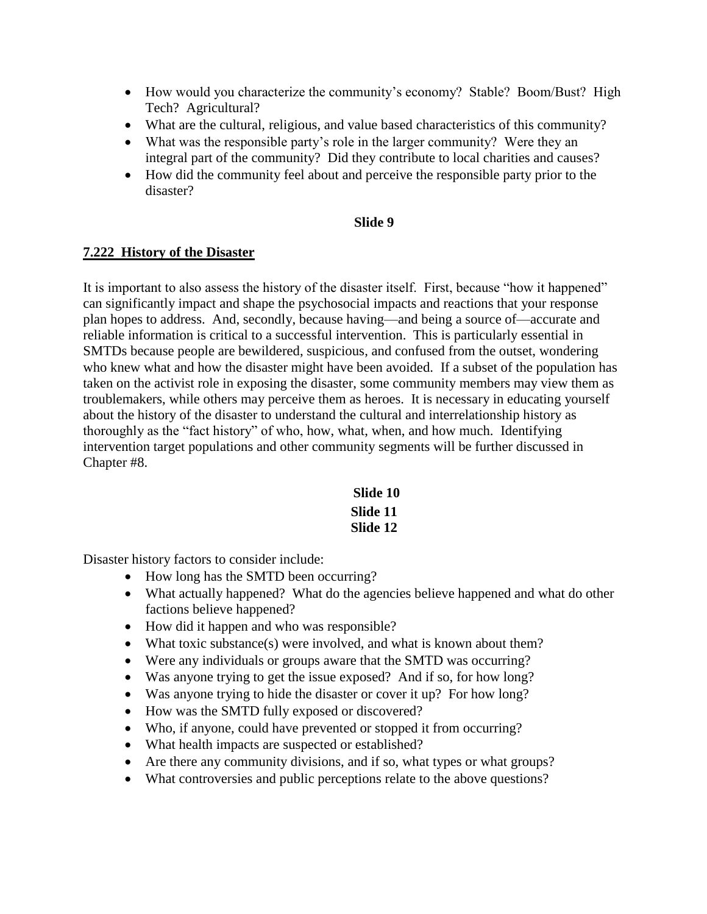- How would you characterize the community's economy? Stable? Boom/Bust? High Tech? Agricultural?
- What are the cultural, religious, and value based characteristics of this community?
- What was the responsible party's role in the larger community? Were they an integral part of the community? Did they contribute to local charities and causes?
- How did the community feel about and perceive the responsible party prior to the disaster?

#### **Slide 9**

#### **7.222 History of the Disaster**

It is important to also assess the history of the disaster itself. First, because "how it happened" can significantly impact and shape the psychosocial impacts and reactions that your response plan hopes to address. And, secondly, because having—and being a source of—accurate and reliable information is critical to a successful intervention. This is particularly essential in SMTDs because people are bewildered, suspicious, and confused from the outset, wondering who knew what and how the disaster might have been avoided. If a subset of the population has taken on the activist role in exposing the disaster, some community members may view them as troublemakers, while others may perceive them as heroes. It is necessary in educating yourself about the history of the disaster to understand the cultural and interrelationship history as thoroughly as the "fact history" of who, how, what, when, and how much. Identifying intervention target populations and other community segments will be further discussed in Chapter #8.

> **Slide 10 Slide 11 Slide 12**

Disaster history factors to consider include:

- How long has the SMTD been occurring?
- What actually happened? What do the agencies believe happened and what do other factions believe happened?
- How did it happen and who was responsible?
- What toxic substance(s) were involved, and what is known about them?
- Were any individuals or groups aware that the SMTD was occurring?
- Was anyone trying to get the issue exposed? And if so, for how long?
- Was anyone trying to hide the disaster or cover it up? For how long?
- How was the SMTD fully exposed or discovered?
- Who, if anyone, could have prevented or stopped it from occurring?
- What health impacts are suspected or established?
- Are there any community divisions, and if so, what types or what groups?
- What controversies and public perceptions relate to the above questions?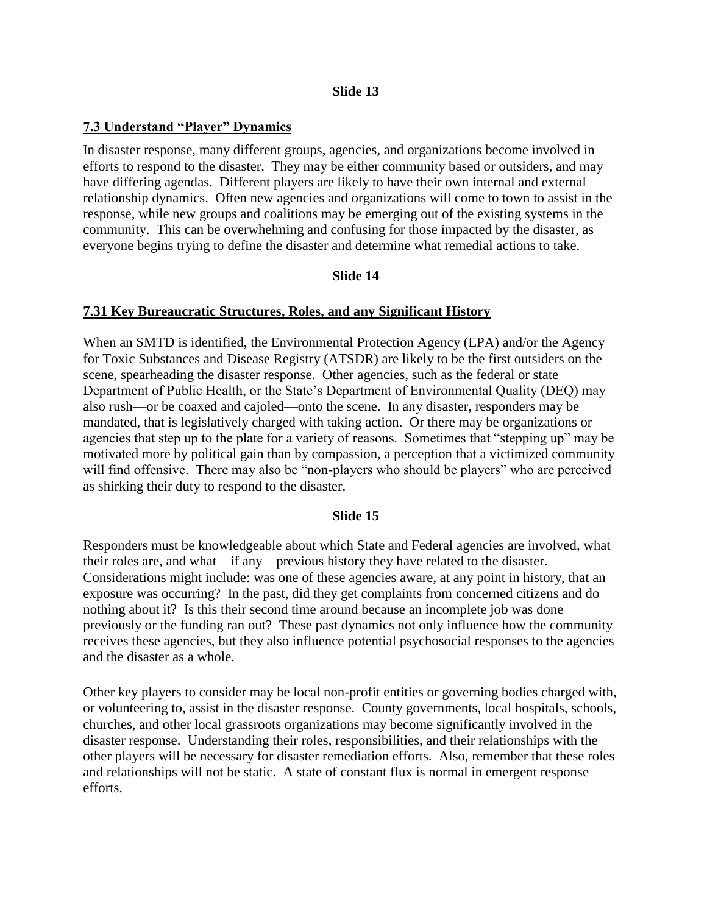#### **Slide 13**

### **7.3 Understand "Player" Dynamics**

In disaster response, many different groups, agencies, and organizations become involved in efforts to respond to the disaster. They may be either community based or outsiders, and may have differing agendas. Different players are likely to have their own internal and external relationship dynamics. Often new agencies and organizations will come to town to assist in the response, while new groups and coalitions may be emerging out of the existing systems in the community. This can be overwhelming and confusing for those impacted by the disaster, as everyone begins trying to define the disaster and determine what remedial actions to take.

#### **Slide 14**

#### **7.31 Key Bureaucratic Structures, Roles, and any Significant History**

When an SMTD is identified, the Environmental Protection Agency (EPA) and/or the Agency for Toxic Substances and Disease Registry (ATSDR) are likely to be the first outsiders on the scene, spearheading the disaster response. Other agencies, such as the federal or state Department of Public Health, or the State's Department of Environmental Quality (DEQ) may also rush—or be coaxed and cajoled—onto the scene. In any disaster, responders may be mandated, that is legislatively charged with taking action. Or there may be organizations or agencies that step up to the plate for a variety of reasons. Sometimes that "stepping up" may be motivated more by political gain than by compassion, a perception that a victimized community will find offensive. There may also be "non-players who should be players" who are perceived as shirking their duty to respond to the disaster.

#### **Slide 15**

Responders must be knowledgeable about which State and Federal agencies are involved, what their roles are, and what—if any—previous history they have related to the disaster. Considerations might include: was one of these agencies aware, at any point in history, that an exposure was occurring? In the past, did they get complaints from concerned citizens and do nothing about it? Is this their second time around because an incomplete job was done previously or the funding ran out? These past dynamics not only influence how the community receives these agencies, but they also influence potential psychosocial responses to the agencies and the disaster as a whole.

Other key players to consider may be local non-profit entities or governing bodies charged with, or volunteering to, assist in the disaster response. County governments, local hospitals, schools, churches, and other local grassroots organizations may become significantly involved in the disaster response. Understanding their roles, responsibilities, and their relationships with the other players will be necessary for disaster remediation efforts. Also, remember that these roles and relationships will not be static. A state of constant flux is normal in emergent response efforts.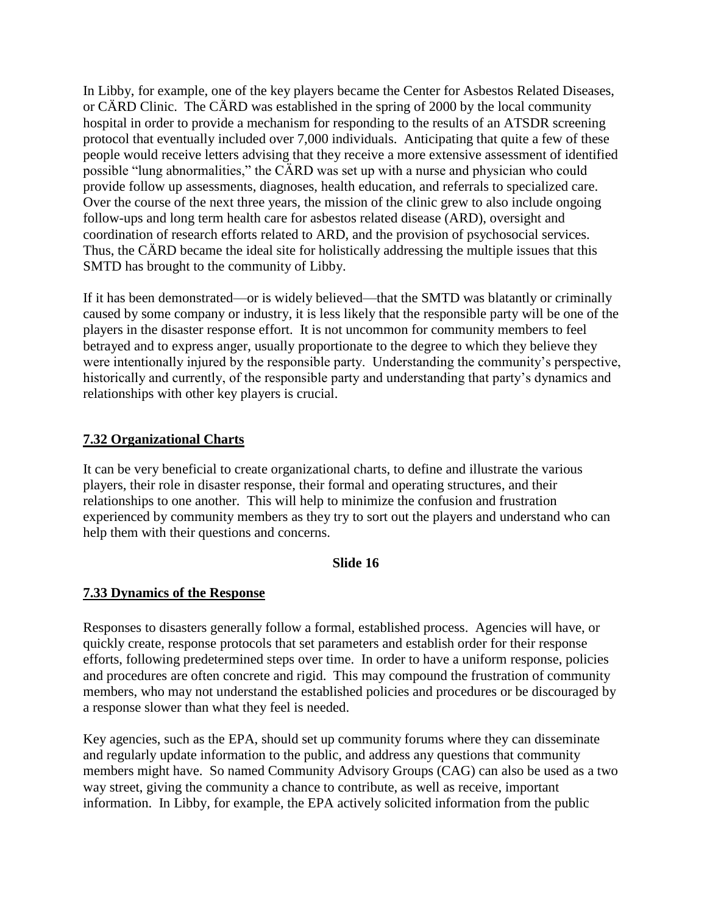In Libby, for example, one of the key players became the Center for Asbestos Related Diseases, or CÄRD Clinic. The CÄRD was established in the spring of 2000 by the local community hospital in order to provide a mechanism for responding to the results of an ATSDR screening protocol that eventually included over 7,000 individuals. Anticipating that quite a few of these people would receive letters advising that they receive a more extensive assessment of identified possible "lung abnormalities," the CÄRD was set up with a nurse and physician who could provide follow up assessments, diagnoses, health education, and referrals to specialized care. Over the course of the next three years, the mission of the clinic grew to also include ongoing follow-ups and long term health care for asbestos related disease (ARD), oversight and coordination of research efforts related to ARD, and the provision of psychosocial services. Thus, the CÄRD became the ideal site for holistically addressing the multiple issues that this SMTD has brought to the community of Libby.

If it has been demonstrated—or is widely believed—that the SMTD was blatantly or criminally caused by some company or industry, it is less likely that the responsible party will be one of the players in the disaster response effort. It is not uncommon for community members to feel betrayed and to express anger, usually proportionate to the degree to which they believe they were intentionally injured by the responsible party. Understanding the community's perspective, historically and currently, of the responsible party and understanding that party's dynamics and relationships with other key players is crucial.

# **7.32 Organizational Charts**

It can be very beneficial to create organizational charts, to define and illustrate the various players, their role in disaster response, their formal and operating structures, and their relationships to one another. This will help to minimize the confusion and frustration experienced by community members as they try to sort out the players and understand who can help them with their questions and concerns.

# **Slide 16**

# **7.33 Dynamics of the Response**

Responses to disasters generally follow a formal, established process. Agencies will have, or quickly create, response protocols that set parameters and establish order for their response efforts, following predetermined steps over time. In order to have a uniform response, policies and procedures are often concrete and rigid. This may compound the frustration of community members, who may not understand the established policies and procedures or be discouraged by a response slower than what they feel is needed.

Key agencies, such as the EPA, should set up community forums where they can disseminate and regularly update information to the public, and address any questions that community members might have. So named Community Advisory Groups (CAG) can also be used as a two way street, giving the community a chance to contribute, as well as receive, important information. In Libby, for example, the EPA actively solicited information from the public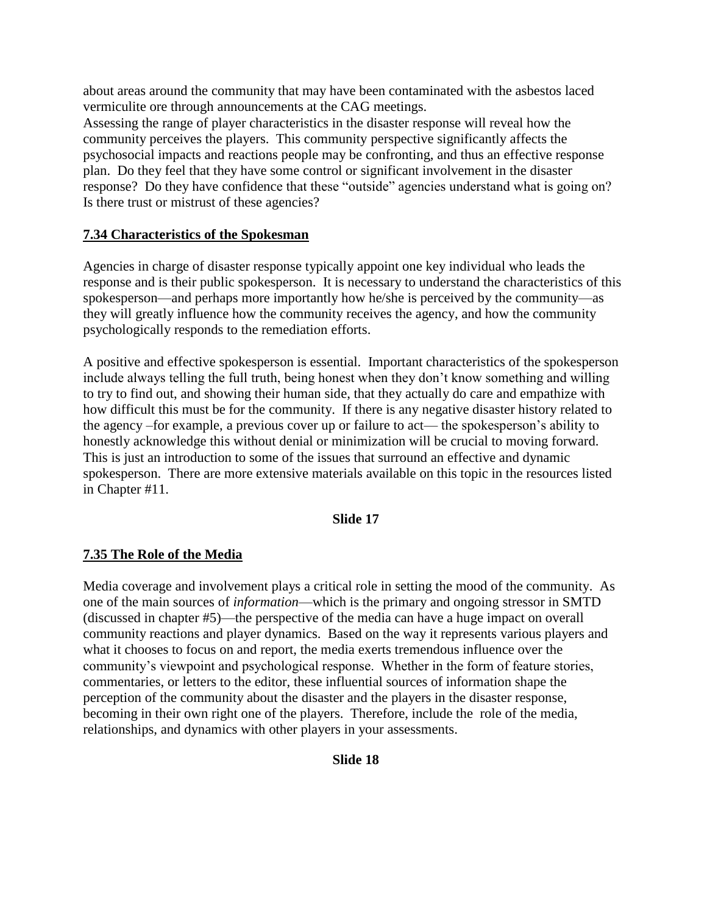about areas around the community that may have been contaminated with the asbestos laced vermiculite ore through announcements at the CAG meetings.

Assessing the range of player characteristics in the disaster response will reveal how the community perceives the players. This community perspective significantly affects the psychosocial impacts and reactions people may be confronting, and thus an effective response plan. Do they feel that they have some control or significant involvement in the disaster response? Do they have confidence that these "outside" agencies understand what is going on? Is there trust or mistrust of these agencies?

# **7.34 Characteristics of the Spokesman**

Agencies in charge of disaster response typically appoint one key individual who leads the response and is their public spokesperson. It is necessary to understand the characteristics of this spokesperson—and perhaps more importantly how he/she is perceived by the community—as they will greatly influence how the community receives the agency, and how the community psychologically responds to the remediation efforts.

A positive and effective spokesperson is essential. Important characteristics of the spokesperson include always telling the full truth, being honest when they don't know something and willing to try to find out, and showing their human side, that they actually do care and empathize with how difficult this must be for the community. If there is any negative disaster history related to the agency –for example, a previous cover up or failure to act— the spokesperson's ability to honestly acknowledge this without denial or minimization will be crucial to moving forward. This is just an introduction to some of the issues that surround an effective and dynamic spokesperson. There are more extensive materials available on this topic in the resources listed in Chapter #11.

#### **Slide 17**

# **7.35 The Role of the Media**

Media coverage and involvement plays a critical role in setting the mood of the community. As one of the main sources of *information*—which is the primary and ongoing stressor in SMTD (discussed in chapter #5)—the perspective of the media can have a huge impact on overall community reactions and player dynamics. Based on the way it represents various players and what it chooses to focus on and report, the media exerts tremendous influence over the community's viewpoint and psychological response. Whether in the form of feature stories, commentaries, or letters to the editor, these influential sources of information shape the perception of the community about the disaster and the players in the disaster response, becoming in their own right one of the players. Therefore, include the role of the media, relationships, and dynamics with other players in your assessments.

**Slide 18**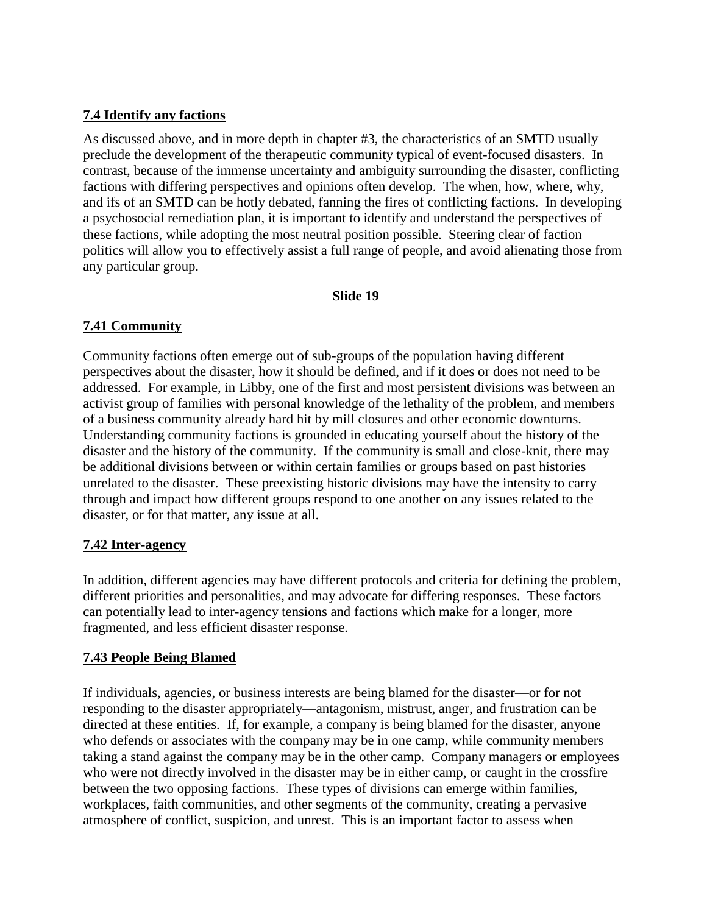# **7.4 Identify any factions**

As discussed above, and in more depth in chapter #3, the characteristics of an SMTD usually preclude the development of the therapeutic community typical of event-focused disasters. In contrast, because of the immense uncertainty and ambiguity surrounding the disaster, conflicting factions with differing perspectives and opinions often develop. The when, how, where, why, and ifs of an SMTD can be hotly debated, fanning the fires of conflicting factions. In developing a psychosocial remediation plan, it is important to identify and understand the perspectives of these factions, while adopting the most neutral position possible. Steering clear of faction politics will allow you to effectively assist a full range of people, and avoid alienating those from any particular group.

### **Slide 19**

# **7.41 Community**

Community factions often emerge out of sub-groups of the population having different perspectives about the disaster, how it should be defined, and if it does or does not need to be addressed. For example, in Libby, one of the first and most persistent divisions was between an activist group of families with personal knowledge of the lethality of the problem, and members of a business community already hard hit by mill closures and other economic downturns. Understanding community factions is grounded in educating yourself about the history of the disaster and the history of the community. If the community is small and close-knit, there may be additional divisions between or within certain families or groups based on past histories unrelated to the disaster. These preexisting historic divisions may have the intensity to carry through and impact how different groups respond to one another on any issues related to the disaster, or for that matter, any issue at all.

# **7.42 Inter-agency**

In addition, different agencies may have different protocols and criteria for defining the problem, different priorities and personalities, and may advocate for differing responses. These factors can potentially lead to inter-agency tensions and factions which make for a longer, more fragmented, and less efficient disaster response.

# **7.43 People Being Blamed**

If individuals, agencies, or business interests are being blamed for the disaster—or for not responding to the disaster appropriately—antagonism, mistrust, anger, and frustration can be directed at these entities. If, for example, a company is being blamed for the disaster, anyone who defends or associates with the company may be in one camp, while community members taking a stand against the company may be in the other camp. Company managers or employees who were not directly involved in the disaster may be in either camp, or caught in the crossfire between the two opposing factions. These types of divisions can emerge within families, workplaces, faith communities, and other segments of the community, creating a pervasive atmosphere of conflict, suspicion, and unrest. This is an important factor to assess when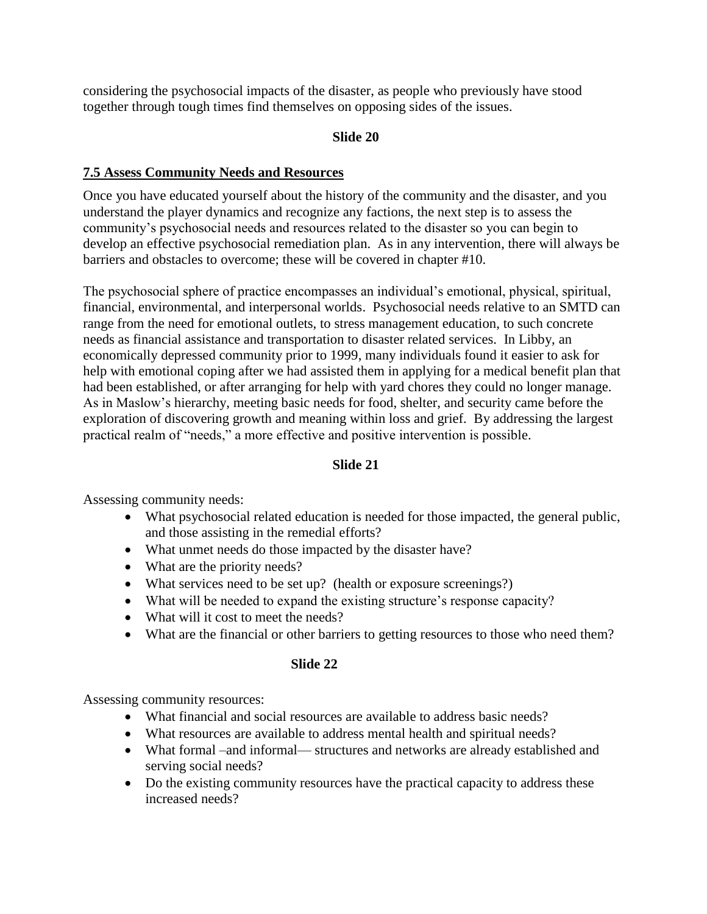considering the psychosocial impacts of the disaster, as people who previously have stood together through tough times find themselves on opposing sides of the issues.

# **Slide 20**

# **7.5 Assess Community Needs and Resources**

Once you have educated yourself about the history of the community and the disaster, and you understand the player dynamics and recognize any factions, the next step is to assess the community's psychosocial needs and resources related to the disaster so you can begin to develop an effective psychosocial remediation plan. As in any intervention, there will always be barriers and obstacles to overcome; these will be covered in chapter #10.

The psychosocial sphere of practice encompasses an individual's emotional, physical, spiritual, financial, environmental, and interpersonal worlds. Psychosocial needs relative to an SMTD can range from the need for emotional outlets, to stress management education, to such concrete needs as financial assistance and transportation to disaster related services. In Libby, an economically depressed community prior to 1999, many individuals found it easier to ask for help with emotional coping after we had assisted them in applying for a medical benefit plan that had been established, or after arranging for help with yard chores they could no longer manage. As in Maslow's hierarchy, meeting basic needs for food, shelter, and security came before the exploration of discovering growth and meaning within loss and grief. By addressing the largest practical realm of "needs," a more effective and positive intervention is possible.

# **Slide 21**

Assessing community needs:

- What psychosocial related education is needed for those impacted, the general public, and those assisting in the remedial efforts?
- What unmet needs do those impacted by the disaster have?
- What are the priority needs?
- What services need to be set up? (health or exposure screenings?)
- What will be needed to expand the existing structure's response capacity?
- What will it cost to meet the needs?
- What are the financial or other barriers to getting resources to those who need them?

# **Slide 22**

Assessing community resources:

- What financial and social resources are available to address basic needs?
- What resources are available to address mental health and spiritual needs?
- What formal –and informal— structures and networks are already established and serving social needs?
- Do the existing community resources have the practical capacity to address these increased needs?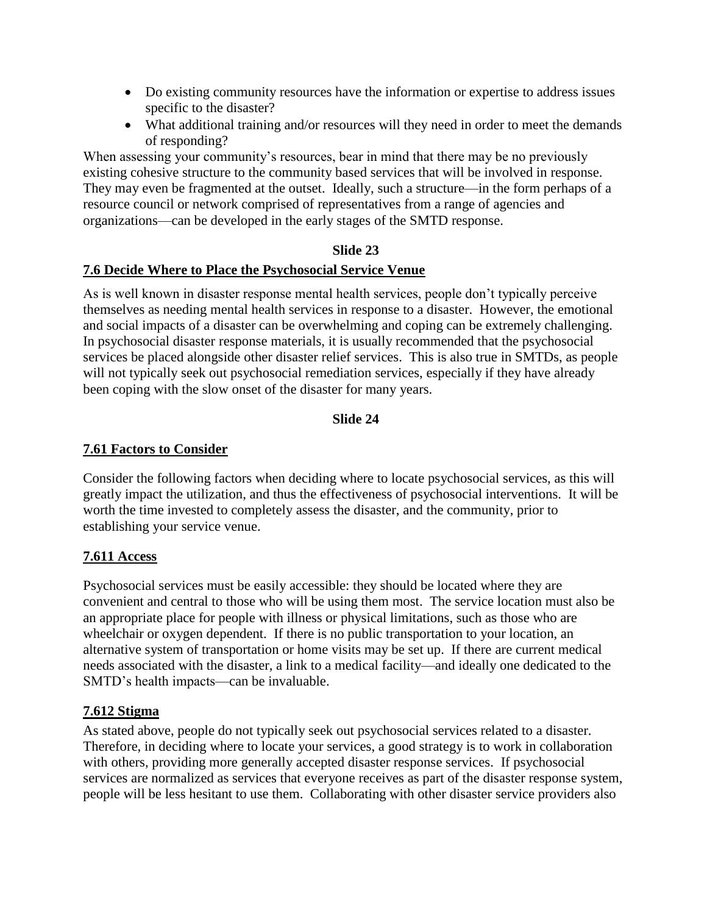- Do existing community resources have the information or expertise to address issues specific to the disaster?
- What additional training and/or resources will they need in order to meet the demands of responding?

When assessing your community's resources, bear in mind that there may be no previously existing cohesive structure to the community based services that will be involved in response. They may even be fragmented at the outset. Ideally, such a structure—in the form perhaps of a resource council or network comprised of representatives from a range of agencies and organizations—can be developed in the early stages of the SMTD response.

#### **Slide 23**

#### **7.6 Decide Where to Place the Psychosocial Service Venue**

As is well known in disaster response mental health services, people don't typically perceive themselves as needing mental health services in response to a disaster. However, the emotional and social impacts of a disaster can be overwhelming and coping can be extremely challenging. In psychosocial disaster response materials, it is usually recommended that the psychosocial services be placed alongside other disaster relief services. This is also true in SMTDs, as people will not typically seek out psychosocial remediation services, especially if they have already been coping with the slow onset of the disaster for many years.

### **Slide 24**

#### **7.61 Factors to Consider**

Consider the following factors when deciding where to locate psychosocial services, as this will greatly impact the utilization, and thus the effectiveness of psychosocial interventions. It will be worth the time invested to completely assess the disaster, and the community, prior to establishing your service venue.

#### **7.611 Access**

Psychosocial services must be easily accessible: they should be located where they are convenient and central to those who will be using them most. The service location must also be an appropriate place for people with illness or physical limitations, such as those who are wheelchair or oxygen dependent. If there is no public transportation to your location, an alternative system of transportation or home visits may be set up. If there are current medical needs associated with the disaster, a link to a medical facility—and ideally one dedicated to the SMTD's health impacts—can be invaluable.

#### **7.612 Stigma**

As stated above, people do not typically seek out psychosocial services related to a disaster. Therefore, in deciding where to locate your services, a good strategy is to work in collaboration with others, providing more generally accepted disaster response services. If psychosocial services are normalized as services that everyone receives as part of the disaster response system, people will be less hesitant to use them. Collaborating with other disaster service providers also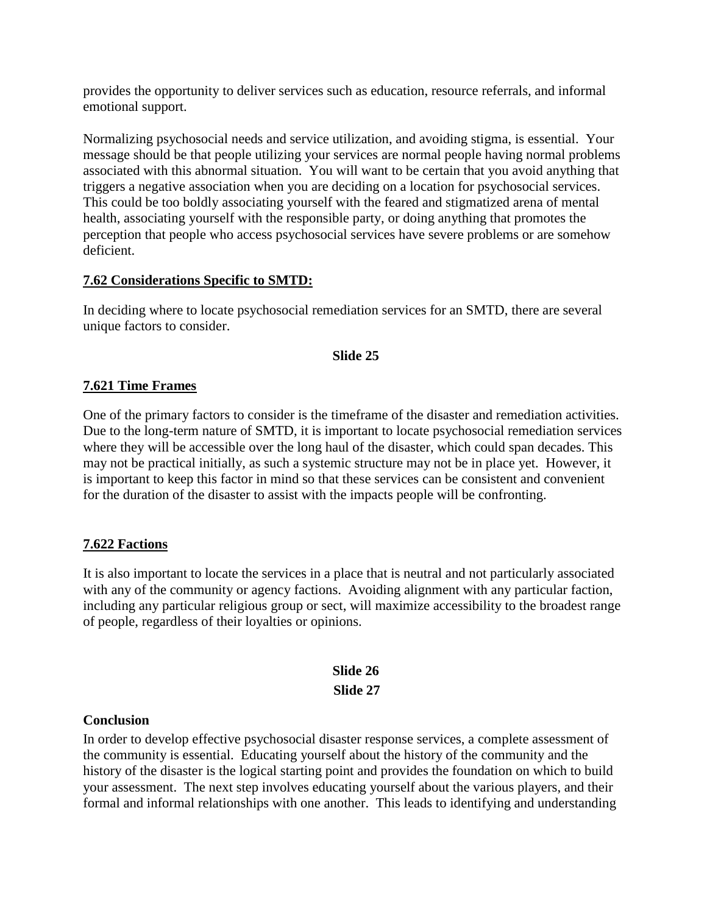provides the opportunity to deliver services such as education, resource referrals, and informal emotional support.

Normalizing psychosocial needs and service utilization, and avoiding stigma, is essential. Your message should be that people utilizing your services are normal people having normal problems associated with this abnormal situation. You will want to be certain that you avoid anything that triggers a negative association when you are deciding on a location for psychosocial services. This could be too boldly associating yourself with the feared and stigmatized arena of mental health, associating yourself with the responsible party, or doing anything that promotes the perception that people who access psychosocial services have severe problems or are somehow deficient.

### **7.62 Considerations Specific to SMTD:**

In deciding where to locate psychosocial remediation services for an SMTD, there are several unique factors to consider.

#### **Slide 25**

### **7.621 Time Frames**

One of the primary factors to consider is the timeframe of the disaster and remediation activities. Due to the long-term nature of SMTD, it is important to locate psychosocial remediation services where they will be accessible over the long haul of the disaster, which could span decades. This may not be practical initially, as such a systemic structure may not be in place yet. However, it is important to keep this factor in mind so that these services can be consistent and convenient for the duration of the disaster to assist with the impacts people will be confronting.

#### **7.622 Factions**

It is also important to locate the services in a place that is neutral and not particularly associated with any of the community or agency factions. Avoiding alignment with any particular faction, including any particular religious group or sect, will maximize accessibility to the broadest range of people, regardless of their loyalties or opinions.

# **Slide 26 Slide 27**

#### **Conclusion**

In order to develop effective psychosocial disaster response services, a complete assessment of the community is essential. Educating yourself about the history of the community and the history of the disaster is the logical starting point and provides the foundation on which to build your assessment. The next step involves educating yourself about the various players, and their formal and informal relationships with one another. This leads to identifying and understanding